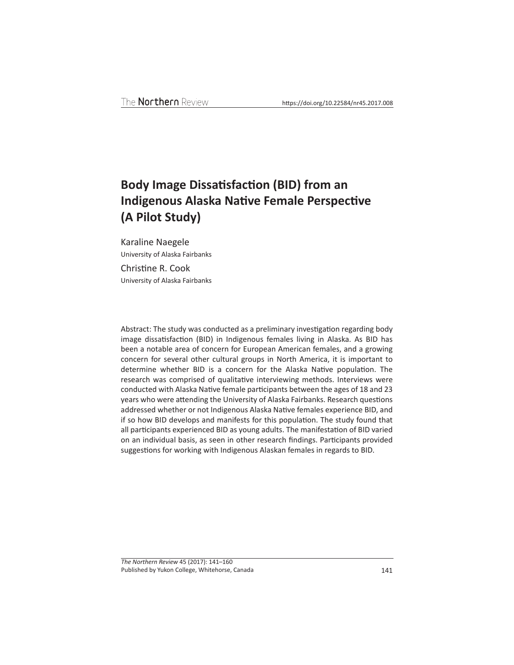# **Body Image Dissatisfaction (BID) from an Indigenous Alaska Native Female Perspective (A Pilot Study)**

Karaline Naegele University of Alaska Fairbanks Christine R. Cook University of Alaska Fairbanks

Abstract: The study was conducted as a preliminary investigation regarding body image dissatisfaction (BID) in Indigenous females living in Alaska. As BID has been a notable area of concern for European American females, and a growing concern for several other cultural groups in North America, it is important to determine whether BID is a concern for the Alaska Native population. The research was comprised of qualitative interviewing methods. Interviews were conducted with Alaska Native female participants between the ages of 18 and 23 years who were attending the University of Alaska Fairbanks. Research questions addressed whether or not Indigenous Alaska Native females experience BID, and if so how BID develops and manifests for this population. The study found that all participants experienced BID as young adults. The manifestation of BID varied on an individual basis, as seen in other research findings. Participants provided suggestions for working with Indigenous Alaskan females in regards to BID.

*The Northern Review* 45 (2017): 141–160 Published by Yukon College, Whitehorse, Canada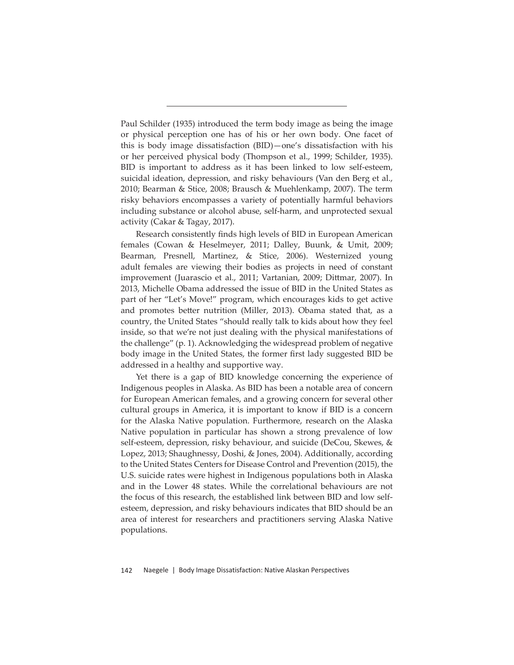Paul Schilder (1935) introduced the term body image as being the image or physical perception one has of his or her own body. One facet of this is body image dissatisfaction (BID)—one's dissatisfaction with his or her perceived physical body (Thompson et al., 1999; Schilder, 1935). BID is important to address as it has been linked to low self-esteem, suicidal ideation, depression, and risky behaviours (Van den Berg et al., 2010; Bearman & Stice, 2008; Brausch & Muehlenkamp, 2007). The term risky behaviors encompasses a variety of potentially harmful behaviors including substance or alcohol abuse, self-harm, and unprotected sexual activity (Cakar & Tagay, 2017).

Research consistently finds high levels of BID in European American females (Cowan & Heselmeyer, 2011; Dalley, Buunk, & Umit, 2009; Bearman, Presnell, Martinez, & Stice, 2006). Westernized young adult females are viewing their bodies as projects in need of constant improvement (Juarascio et al., 2011; Vartanian, 2009; Dittmar, 2007). In 2013, Michelle Obama addressed the issue of BID in the United States as part of her "Let's Move!" program, which encourages kids to get active and promotes better nutrition (Miller, 2013). Obama stated that, as a country, the United States "should really talk to kids about how they feel inside, so that we're not just dealing with the physical manifestations of the challenge" (p. 1). Acknowledging the widespread problem of negative body image in the United States, the former first lady suggested BID be addressed in a healthy and supportive way.

Yet there is a gap of BID knowledge concerning the experience of Indigenous peoples in Alaska. As BID has been a notable area of concern for European American females, and a growing concern for several other cultural groups in America, it is important to know if BID is a concern for the Alaska Native population. Furthermore, research on the Alaska Native population in particular has shown a strong prevalence of low self-esteem, depression, risky behaviour, and suicide (DeCou, Skewes, & Lopez, 2013; Shaughnessy, Doshi, & Jones, 2004). Additionally, according to the United States Centers for Disease Control and Prevention (2015), the U.S. suicide rates were highest in Indigenous populations both in Alaska and in the Lower 48 states. While the correlational behaviours are not the focus of this research, the established link between BID and low selfesteem, depression, and risky behaviours indicates that BID should be an area of interest for researchers and practitioners serving Alaska Native populations.

142 Naegele | Body Image Dissatisfaction: Native Alaskan Perspectives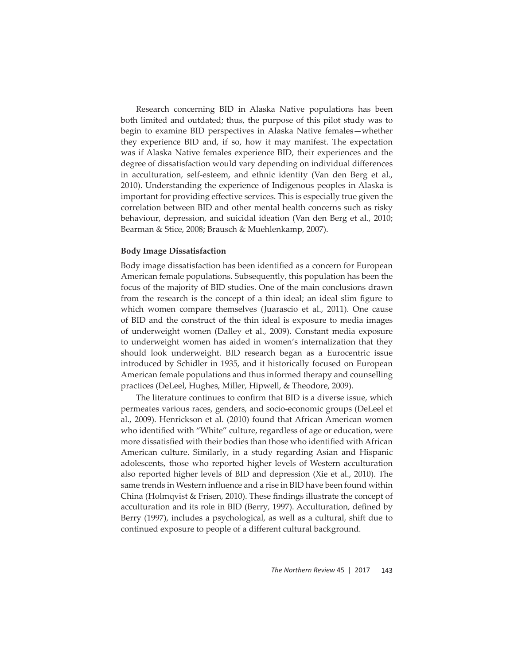Research concerning BID in Alaska Native populations has been both limited and outdated; thus, the purpose of this pilot study was to begin to examine BID perspectives in Alaska Native females—whether they experience BID and, if so, how it may manifest. The expectation was if Alaska Native females experience BID, their experiences and the degree of dissatisfaction would vary depending on individual differences in acculturation, self-esteem, and ethnic identity (Van den Berg et al., 2010). Understanding the experience of Indigenous peoples in Alaska is important for providing effective services. This is especially true given the correlation between BID and other mental health concerns such as risky behaviour, depression, and suicidal ideation (Van den Berg et al., 2010; Bearman & Stice, 2008; Brausch & Muehlenkamp, 2007).

#### **Body Image Dissatisfaction**

Body image dissatisfaction has been identified as a concern for European American female populations. Subsequently, this population has been the focus of the majority of BID studies. One of the main conclusions drawn from the research is the concept of a thin ideal; an ideal slim figure to which women compare themselves (Juarascio et al., 2011). One cause of BID and the construct of the thin ideal is exposure to media images of underweight women (Dalley et al., 2009). Constant media exposure to underweight women has aided in women's internalization that they should look underweight. BID research began as a Eurocentric issue introduced by Schidler in 1935, and it historically focused on European American female populations and thus informed therapy and counselling practices (DeLeel, Hughes, Miller, Hipwell, & Theodore, 2009).

The literature continues to confirm that BID is a diverse issue, which permeates various races, genders, and socio-economic groups (DeLeel et al., 2009). Henrickson et al. (2010) found that African American women who identified with "White" culture, regardless of age or education, were more dissatisfied with their bodies than those who identified with African American culture. Similarly, in a study regarding Asian and Hispanic adolescents, those who reported higher levels of Western acculturation also reported higher levels of BID and depression (Xie et al., 2010). The same trends in Western influence and a rise in BID have been found within China (Holmqvist  $\&$  Frisen, 2010). These findings illustrate the concept of acculturation and its role in BID (Berry, 1997). Acculturation, defined by Berry (1997), includes a psychological, as well as a cultural, shift due to continued exposure to people of a different cultural background.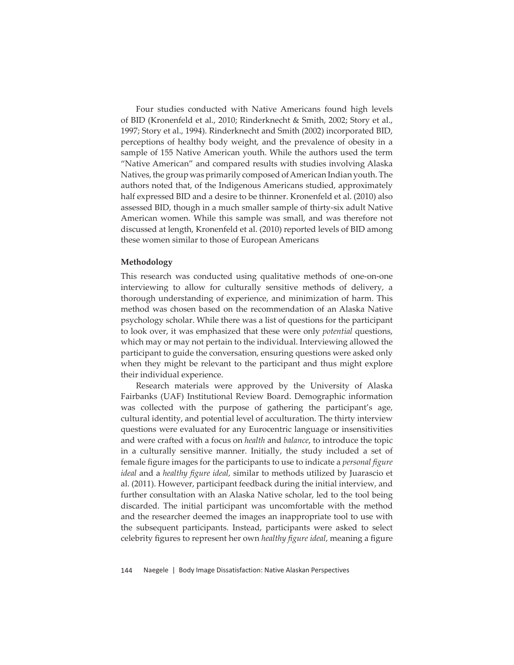Four studies conducted with Native Americans found high levels of BID (Kronenfeld et al., 2010; Rinderknecht & Smith, 2002; Story et al., 1997; Story et al., 1994). Rinderknecht and Smith (2002) incorporated BID, perceptions of healthy body weight, and the prevalence of obesity in a sample of 155 Native American youth. While the authors used the term "Native American" and compared results with studies involving Alaska Natives, the group was primarily composed of American Indian youth. The authors noted that, of the Indigenous Americans studied, approximately half expressed BID and a desire to be thinner. Kronenfeld et al. (2010) also assessed BID, though in a much smaller sample of thirty-six adult Native American women. While this sample was small, and was therefore not discussed at length, Kronenfeld et al. (2010) reported levels of BID among these women similar to those of European Americans

### **Methodology**

This research was conducted using qualitative methods of one-on-one interviewing to allow for culturally sensitive methods of delivery, a thorough understanding of experience, and minimization of harm. This method was chosen based on the recommendation of an Alaska Native psychology scholar. While there was a list of questions for the participant to look over, it was emphasized that these were only *potential* questions, which may or may not pertain to the individual. Interviewing allowed the participant to guide the conversation, ensuring questions were asked only when they might be relevant to the participant and thus might explore their individual experience.

Research materials were approved by the University of Alaska Fairbanks (UAF) Institutional Review Board. Demographic information was collected with the purpose of gathering the participant's age, cultural identity, and potential level of acculturation. The thirty interview questions were evaluated for any Eurocentric language or insensitivities and were crafted with a focus on *health* and *balance*, to introduce the topic in a culturally sensitive manner. Initially, the study included a set of female figure images for the participants to use to indicate a *personal figure ideal* and a *healthy figure ideal,* similar to methods utilized by Juarascio et al. (2011). However, participant feedback during the initial interview, and further consultation with an Alaska Native scholar, led to the tool being discarded. The initial participant was uncomfortable with the method and the researcher deemed the images an inappropriate tool to use with the subsequent participants. Instead, participants were asked to select celebrity figures to represent her own *healthy figure ideal*, meaning a figure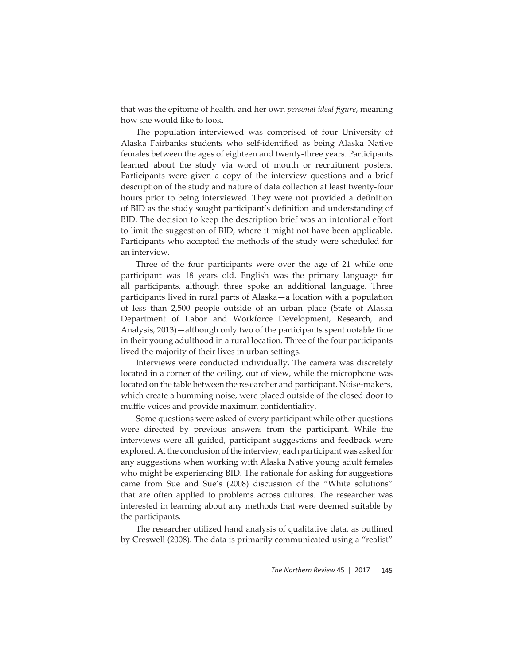that was the epitome of health, and her own *personal ideal figure*, meaning how she would like to look.

The population interviewed was comprised of four University of Alaska Fairbanks students who self-identified as being Alaska Native females between the ages of eighteen and twenty-three years. Participants learned about the study via word of mouth or recruitment posters. Participants were given a copy of the interview questions and a brief description of the study and nature of data collection at least twenty-four hours prior to being interviewed. They were not provided a definition of BID as the study sought participant's definition and understanding of BID. The decision to keep the description brief was an intentional effort to limit the suggestion of BID, where it might not have been applicable. Participants who accepted the methods of the study were scheduled for an interview.

Three of the four participants were over the age of 21 while one participant was 18 years old. English was the primary language for all participants, although three spoke an additional language. Three participants lived in rural parts of Alaska—a location with a population of less than 2,500 people outside of an urban place (State of Alaska Department of Labor and Workforce Development, Research, and Analysis, 2013)—although only two of the participants spent notable time in their young adulthood in a rural location. Three of the four participants lived the majority of their lives in urban settings.

Interviews were conducted individually. The camera was discretely located in a corner of the ceiling, out of view, while the microphone was located on the table between the researcher and participant. Noise-makers, which create a humming noise, were placed outside of the closed door to muffle voices and provide maximum confidentiality.

Some questions were asked of every participant while other questions were directed by previous answers from the participant. While the interviews were all guided, participant suggestions and feedback were explored. At the conclusion of the interview, each participant was asked for any suggestions when working with Alaska Native young adult females who might be experiencing BID. The rationale for asking for suggestions came from Sue and Sue's (2008) discussion of the "White solutions" that are often applied to problems across cultures. The researcher was interested in learning about any methods that were deemed suitable by the participants.

The researcher utilized hand analysis of qualitative data, as outlined by Creswell (2008). The data is primarily communicated using a "realist"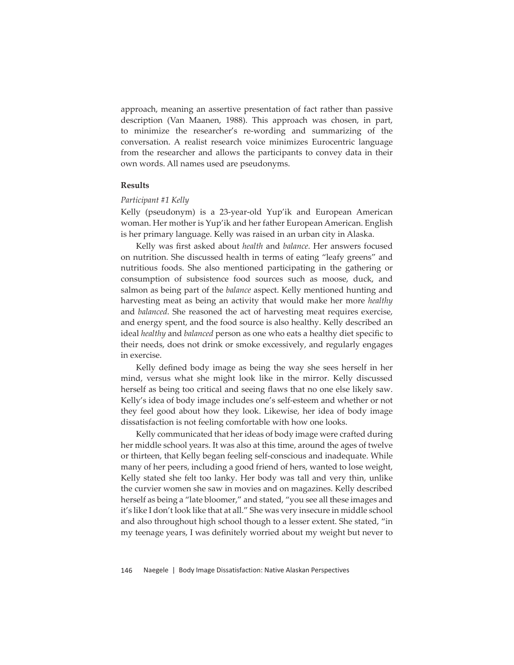approach, meaning an assertive presentation of fact rather than passive description (Van Maanen, 1988). This approach was chosen, in part, to minimize the researcher's re-wording and summarizing of the conversation. A realist research voice minimizes Eurocentric language from the researcher and allows the participants to convey data in their own words. All names used are pseudonyms.

#### **Results**

#### *Participant #1 Kelly*

Kelly (pseudonym) is a 23-year-old Yup'ik and European American woman. Her mother is Yup'ik and her father European American. English is her primary language. Kelly was raised in an urban city in Alaska.

Kelly was first asked about *health* and *balance*. Her answers focused on nutrition. She discussed health in terms of eating "leafy greens" and nutritious foods. She also mentioned participating in the gathering or consumption of subsistence food sources such as moose, duck, and salmon as being part of the *balance* aspect. Kelly mentioned hunting and harvesting meat as being an activity that would make her more *healthy* and *balanced*. She reasoned the act of harvesting meat requires exercise, and energy spent, and the food source is also healthy. Kelly described an ideal *healthy* and *balanced* person as one who eats a healthy diet specific to their needs, does not drink or smoke excessively, and regularly engages in exercise.

Kelly defined body image as being the way she sees herself in her mind, versus what she might look like in the mirror. Kelly discussed herself as being too critical and seeing flaws that no one else likely saw. Kelly's idea of body image includes one's self-esteem and whether or not they feel good about how they look. Likewise, her idea of body image dissatisfaction is not feeling comfortable with how one looks.

Kelly communicated that her ideas of body image were crafted during her middle school years. It was also at this time, around the ages of twelve or thirteen, that Kelly began feeling self-conscious and inadequate. While many of her peers, including a good friend of hers, wanted to lose weight, Kelly stated she felt too lanky. Her body was tall and very thin, unlike the curvier women she saw in movies and on magazines. Kelly described herself as being a "late bloomer," and stated, "you see all these images and it's like I don't look like that at all." She was very insecure in middle school and also throughout high school though to a lesser extent. She stated, "in my teenage years, I was definitely worried about my weight but never to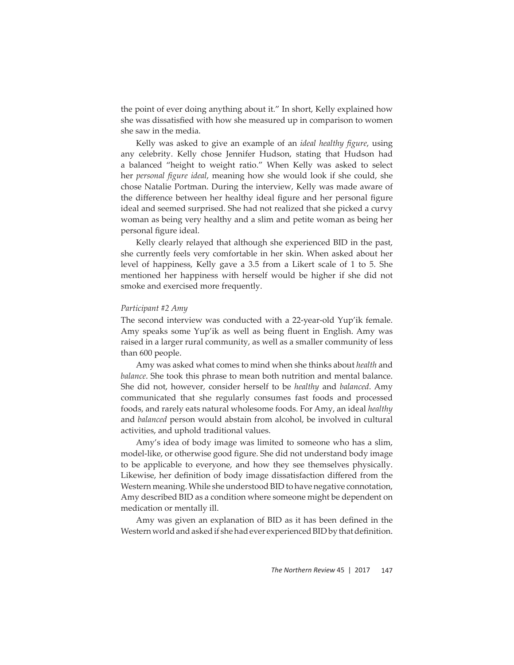the point of ever doing anything about it." In short, Kelly explained how she was dissatisfied with how she measured up in comparison to women she saw in the media.

Kelly was asked to give an example of an *ideal healthy figure*, using any celebrity. Kelly chose Jennifer Hudson, stating that Hudson had a balanced "height to weight ratio." When Kelly was asked to select her *personal figure ideal,* meaning how she would look if she could, she chose Natalie Portman. During the interview, Kelly was made aware of the difference between her healthy ideal figure and her personal figure ideal and seemed surprised. She had not realized that she picked a curvy woman as being very healthy and a slim and petite woman as being her personal figure ideal.

Kelly clearly relayed that although she experienced BID in the past, she currently feels very comfortable in her skin. When asked about her level of happiness, Kelly gave a 3.5 from a Likert scale of 1 to 5. She mentioned her happiness with herself would be higher if she did not smoke and exercised more frequently.

#### *Participant #2 Amy*

The second interview was conducted with a 22-year-old Yup'ik female. Amy speaks some Yup'ik as well as being fluent in English. Amy was raised in a larger rural community, as well as a smaller community of less than 600 people.

Amy was asked what comes to mind when she thinks about *health* and *balance*. She took this phrase to mean both nutrition and mental balance. She did not, however, consider herself to be *healthy* and *balanced*. Amy communicated that she regularly consumes fast foods and processed foods, and rarely eats natural wholesome foods. For Amy, an ideal *healthy* and *balanced* person would abstain from alcohol, be involved in cultural activities, and uphold traditional values.

Amy's idea of body image was limited to someone who has a slim, model-like, or otherwise good figure. She did not understand body image to be applicable to everyone, and how they see themselves physically. Likewise, her definition of body image dissatisfaction differed from the Western meaning. While she understood BID to have negative connotation, Amy described BID as a condition where someone might be dependent on medication or mentally ill.

Amy was given an explanation of BID as it has been defined in the Western world and asked if she had ever experienced BID by that definition.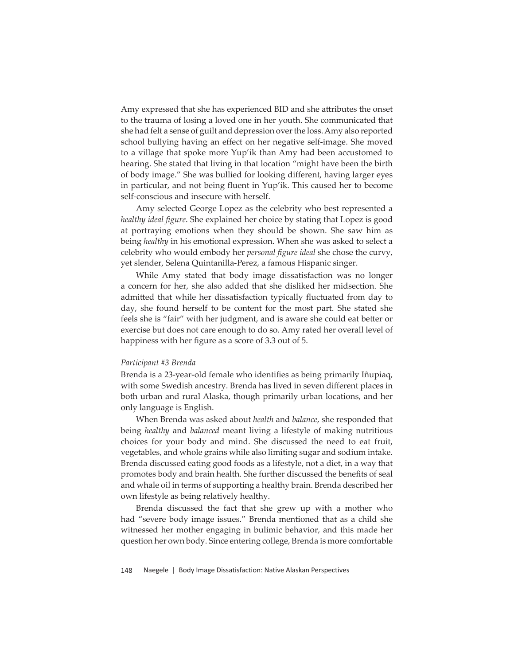Amy expressed that she has experienced BID and she attributes the onset to the trauma of losing a loved one in her youth. She communicated that she had felt a sense of guilt and depression over the loss. Amy also reported school bullying having an effect on her negative self-image. She moved to a village that spoke more Yup'ik than Amy had been accustomed to hearing. She stated that living in that location "might have been the birth of body image." She was bullied for looking different, having larger eyes in particular, and not being fluent in Yup'ik. This caused her to become self-conscious and insecure with herself.

Amy selected George Lopez as the celebrity who best represented a *healthy ideal figure*. She explained her choice by stating that Lopez is good at portraying emotions when they should be shown. She saw him as being *healthy* in his emotional expression. When she was asked to select a celebrity who would embody her *personal fi gure ideal* she chose the curvy, yet slender, Selena Quintanilla-Perez, a famous Hispanic singer.

While Amy stated that body image dissatisfaction was no longer a concern for her, she also added that she disliked her midsection. She admitted that while her dissatisfaction typically fluctuated from day to day, she found herself to be content for the most part. She stated she feels she is "fair" with her judgment, and is aware she could eat better or exercise but does not care enough to do so. Amy rated her overall level of happiness with her figure as a score of 3.3 out of 5.

#### *Participant #3 Brenda*

Brenda is a 23-year-old female who identifies as being primarily Iñupiaq, with some Swedish ancestry. Brenda has lived in seven different places in both urban and rural Alaska, though primarily urban locations, and her only language is English.

When Brenda was asked about *health* and *balance*, she responded that being *healthy* and *balanced* meant living a lifestyle of making nutritious choices for your body and mind. She discussed the need to eat fruit, vegetables, and whole grains while also limiting sugar and sodium intake. Brenda discussed eating good foods as a lifestyle, not a diet, in a way that promotes body and brain health. She further discussed the benefits of seal and whale oil in terms of supporting a healthy brain. Brenda described her own lifestyle as being relatively healthy.

Brenda discussed the fact that she grew up with a mother who had "severe body image issues." Brenda mentioned that as a child she witnessed her mother engaging in bulimic behavior, and this made her question her own body. Since entering college, Brenda is more comfortable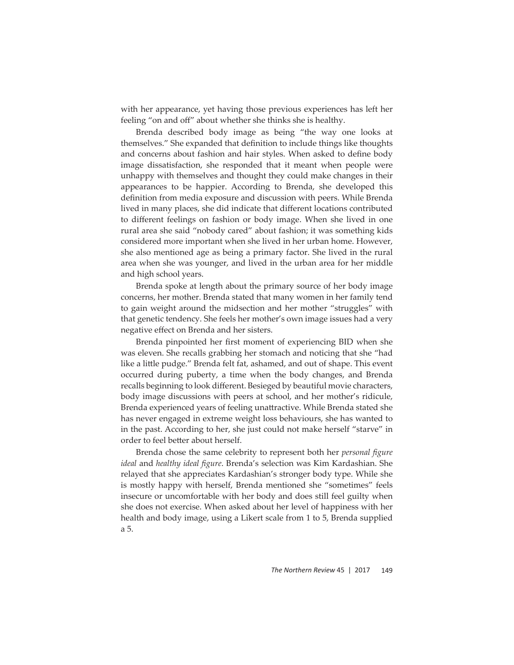with her appearance, yet having those previous experiences has left her feeling "on and off" about whether she thinks she is healthy.

Brenda described body image as being "the way one looks at themselves." She expanded that definition to include things like thoughts and concerns about fashion and hair styles. When asked to define body image dissatisfaction, she responded that it meant when people were unhappy with themselves and thought they could make changes in their appearances to be happier. According to Brenda, she developed this definition from media exposure and discussion with peers. While Brenda lived in many places, she did indicate that different locations contributed to different feelings on fashion or body image. When she lived in one rural area she said "nobody cared" about fashion; it was something kids considered more important when she lived in her urban home. However, she also mentioned age as being a primary factor. She lived in the rural area when she was younger, and lived in the urban area for her middle and high school years.

Brenda spoke at length about the primary source of her body image concerns, her mother. Brenda stated that many women in her family tend to gain weight around the midsection and her mother "struggles" with that genetic tendency. She feels her mother's own image issues had a very negative effect on Brenda and her sisters.

Brenda pinpointed her first moment of experiencing BID when she was eleven. She recalls grabbing her stomach and noticing that she "had like a little pudge." Brenda felt fat, ashamed, and out of shape. This event occurred during puberty, a time when the body changes, and Brenda recalls beginning to look different. Besieged by beautiful movie characters, body image discussions with peers at school, and her mother's ridicule, Brenda experienced years of feeling unattractive. While Brenda stated she has never engaged in extreme weight loss behaviours, she has wanted to in the past. According to her, she just could not make herself "starve" in order to feel better about herself.

Brenda chose the same celebrity to represent both her *personal figure ideal* and *healthy ideal figure*. Brenda's selection was Kim Kardashian. She relayed that she appreciates Kardashian's stronger body type. While she is mostly happy with herself, Brenda mentioned she "sometimes" feels insecure or uncomfortable with her body and does still feel guilty when she does not exercise. When asked about her level of happiness with her health and body image, using a Likert scale from 1 to 5, Brenda supplied a 5.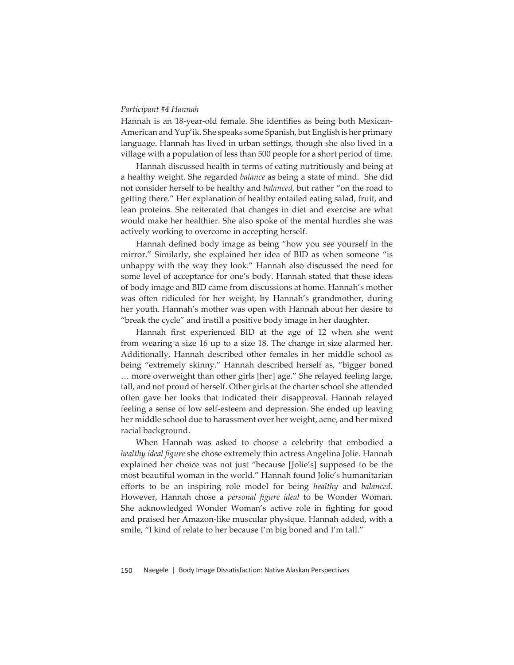#### *Participant #4 Hannah*

Hannah is an 18-year-old female. She identifies as being both Mexican-American and Yup'ik. She speaks some Spanish, but English is her primary language. Hannah has lived in urban settings, though she also lived in a village with a population of less than 500 people for a short period of time.

Hannah discussed health in terms of eating nutritiously and being at a healthy weight. She regarded *balance* as being a state of mind. She did not consider herself to be healthy and *balanced*, but rather "on the road to getting there." Her explanation of healthy entailed eating salad, fruit, and lean proteins. She reiterated that changes in diet and exercise are what would make her healthier. She also spoke of the mental hurdles she was actively working to overcome in accepting herself.

Hannah defined body image as being "how you see yourself in the mirror." Similarly, she explained her idea of BID as when someone "is unhappy with the way they look." Hannah also discussed the need for some level of acceptance for one's body. Hannah stated that these ideas of body image and BID came from discussions at home. Hannah's mother was often ridiculed for her weight, by Hannah's grandmother, during her youth. Hannah's mother was open with Hannah about her desire to "break the cycle" and instill a positive body image in her daughter.

Hannah first experienced BID at the age of 12 when she went from wearing a size 16 up to a size 18. The change in size alarmed her. Additionally, Hannah described other females in her middle school as being "extremely skinny." Hannah described herself as, "bigger boned … more overweight than other girls [her] age." She relayed feeling large, tall, and not proud of herself. Other girls at the charter school she attended often gave her looks that indicated their disapproval. Hannah relayed feeling a sense of low self-esteem and depression. She ended up leaving her middle school due to harassment over her weight, acne, and her mixed racial background.

When Hannah was asked to choose a celebrity that embodied a *healthy ideal fi gure* she chose extremely thin actress Angelina Jolie. Hannah explained her choice was not just "because [Jolie's] supposed to be the most beautiful woman in the world." Hannah found Jolie's humanitarian eff orts to be an inspiring role model for being *healthy* and *balanced*. However, Hannah chose a *personal figure ideal* to be Wonder Woman. She acknowledged Wonder Woman's active role in fighting for good and praised her Amazon-like muscular physique. Hannah added, with a smile, "I kind of relate to her because I'm big boned and I'm tall."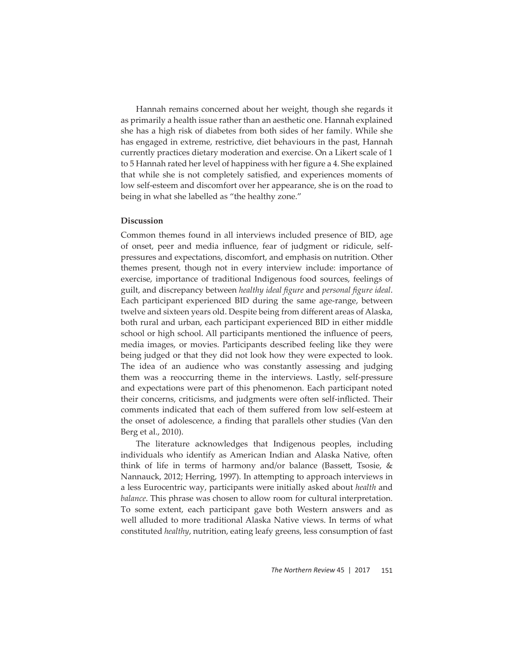Hannah remains concerned about her weight, though she regards it as primarily a health issue rather than an aesthetic one. Hannah explained she has a high risk of diabetes from both sides of her family. While she has engaged in extreme, restrictive, diet behaviours in the past, Hannah currently practices dietary moderation and exercise. On a Likert scale of 1 to 5 Hannah rated her level of happiness with her figure a 4. She explained that while she is not completely satisfied, and experiences moments of low self-esteem and discomfort over her appearance, she is on the road to being in what she labelled as "the healthy zone."

#### **Discussion**

Common themes found in all interviews included presence of BID, age of onset, peer and media influence, fear of judgment or ridicule, selfpressures and expectations, discomfort, and emphasis on nutrition. Other themes present, though not in every interview include: importance of exercise, importance of traditional Indigenous food sources, feelings of guilt, and discrepancy between *healthy ideal figure* and *personal figure ideal*. Each participant experienced BID during the same age-range, between twelve and sixteen years old. Despite being from different areas of Alaska, both rural and urban, each participant experienced BID in either middle school or high school. All participants mentioned the influence of peers, media images, or movies. Participants described feeling like they were being judged or that they did not look how they were expected to look. The idea of an audience who was constantly assessing and judging them was a reoccurring theme in the interviews. Lastly, self-pressure and expectations were part of this phenomenon. Each participant noted their concerns, criticisms, and judgments were often self-inflicted. Their comments indicated that each of them suffered from low self-esteem at the onset of adolescence, a finding that parallels other studies (Van den Berg et al., 2010).

The literature acknowledges that Indigenous peoples, including individuals who identify as American Indian and Alaska Native, often think of life in terms of harmony and/or balance (Bassett, Tsosie,  $\&$ Nannauck, 2012; Herring, 1997). In attempting to approach interviews in a less Eurocentric way, participants were initially asked about *health* and *balance*. This phrase was chosen to allow room for cultural interpretation. To some extent, each participant gave both Western answers and as well alluded to more traditional Alaska Native views. In terms of what constituted *healthy*, nutrition, eating leafy greens, less consumption of fast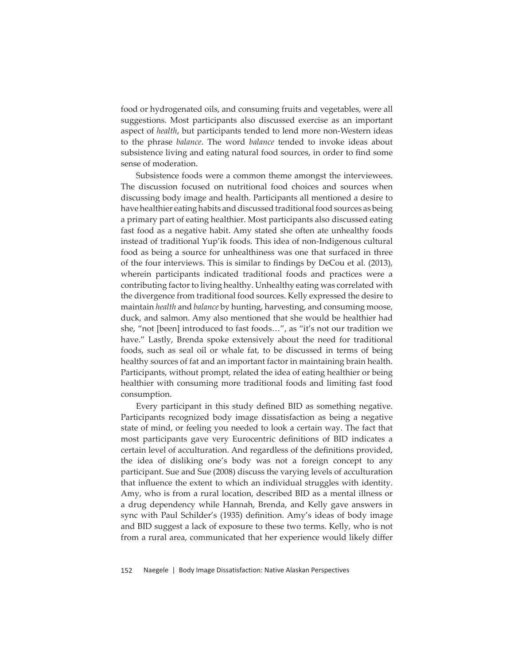food or hydrogenated oils, and consuming fruits and vegetables, were all suggestions. Most participants also discussed exercise as an important aspect of *health*, but participants tended to lend more non-Western ideas to the phrase *balance*. The word *balance* tended to invoke ideas about subsistence living and eating natural food sources, in order to find some sense of moderation.

Subsistence foods were a common theme amongst the interviewees. The discussion focused on nutritional food choices and sources when discussing body image and health. Participants all mentioned a desire to have healthier eating habits and discussed traditional food sources as being a primary part of eating healthier. Most participants also discussed eating fast food as a negative habit. Amy stated she often ate unhealthy foods instead of traditional Yup'ik foods. This idea of non-Indigenous cultural food as being a source for unhealthiness was one that surfaced in three of the four interviews. This is similar to findings by DeCou et al. (2013), wherein participants indicated traditional foods and practices were a contributing factor to living healthy. Unhealthy eating was correlated with the divergence from traditional food sources. Kelly expressed the desire to maintain *health* and *balance* by hunting, harvesting, and consuming moose, duck, and salmon. Amy also mentioned that she would be healthier had she, "not [been] introduced to fast foods…", as "it's not our tradition we have." Lastly, Brenda spoke extensively about the need for traditional foods, such as seal oil or whale fat, to be discussed in terms of being healthy sources of fat and an important factor in maintaining brain health. Participants, without prompt, related the idea of eating healthier or being healthier with consuming more traditional foods and limiting fast food consumption.

Every participant in this study defined BID as something negative. Participants recognized body image dissatisfaction as being a negative state of mind, or feeling you needed to look a certain way. The fact that most participants gave very Eurocentric definitions of BID indicates a certain level of acculturation. And regardless of the definitions provided, the idea of disliking one's body was not a foreign concept to any participant. Sue and Sue (2008) discuss the varying levels of acculturation that influence the extent to which an individual struggles with identity. Amy, who is from a rural location, described BID as a mental illness or a drug dependency while Hannah, Brenda, and Kelly gave answers in sync with Paul Schilder's (1935) definition. Amy's ideas of body image and BID suggest a lack of exposure to these two terms. Kelly, who is not from a rural area, communicated that her experience would likely differ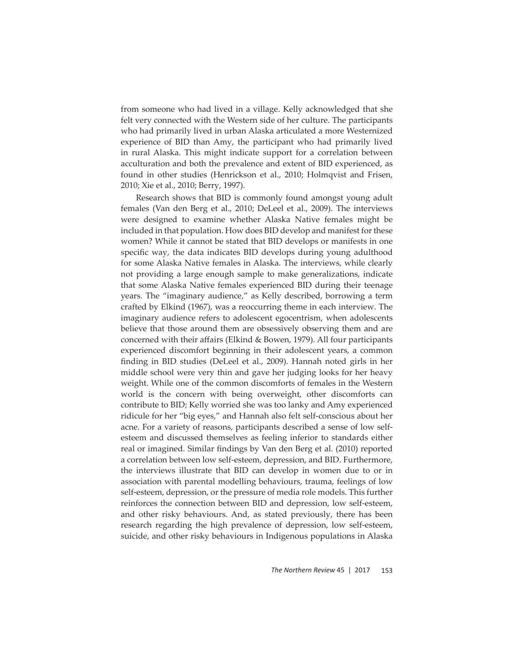from someone who had lived in a village. Kelly acknowledged that she felt very connected with the Western side of her culture. The participants who had primarily lived in urban Alaska articulated a more Westernized experience of BID than Amy, the participant who had primarily lived in rural Alaska. This might indicate support for a correlation between acculturation and both the prevalence and extent of BID experienced, as found in other studies (Henrickson et al., 2010; Holmqvist and Frisen, 2010; Xie et al., 2010; Berry, 1997).

Research shows that BID is commonly found amongst young adult females (Van den Berg et al., 2010; DeLeel et al., 2009). The interviews were designed to examine whether Alaska Native females might be included in that population. How does BID develop and manifest for these women? While it cannot be stated that BID develops or manifests in one specific way, the data indicates BID develops during young adulthood for some Alaska Native females in Alaska. The interviews, while clearly not providing a large enough sample to make generalizations, indicate that some Alaska Native females experienced BID during their teenage years. The "imaginary audience," as Kelly described, borrowing a term crafted by Elkind (1967), was a reoccurring theme in each interview. The imaginary audience refers to adolescent egocentrism, when adolescents believe that those around them are obsessively observing them and are concerned with their affairs (Elkind & Bowen, 1979). All four participants experienced discomfort beginning in their adolescent years, a common finding in BID studies (DeLeel et al., 2009). Hannah noted girls in her middle school were very thin and gave her judging looks for her heavy weight. While one of the common discomforts of females in the Western world is the concern with being overweight, other discomforts can contribute to BID; Kelly worried she was too lanky and Amy experienced ridicule for her "big eyes," and Hannah also felt self-conscious about her acne. For a variety of reasons, participants described a sense of low selfesteem and discussed themselves as feeling inferior to standards either real or imagined. Similar findings by Van den Berg et al. (2010) reported a correlation between low self-esteem, depression, and BID. Furthermore, the interviews illustrate that BID can develop in women due to or in association with parental modelling behaviours, trauma, feelings of low self-esteem, depression, or the pressure of media role models. This further reinforces the connection between BID and depression, low self-esteem, and other risky behaviours. And, as stated previously, there has been research regarding the high prevalence of depression, low self-esteem, suicide, and other risky behaviours in Indigenous populations in Alaska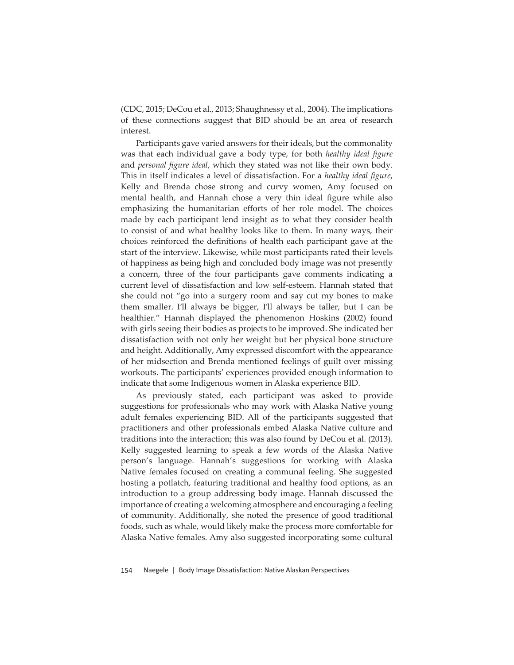(CDC, 2015; DeCou et al., 2013; Shaughnessy et al., 2004). The implications of these connections suggest that BID should be an area of research interest.

Participants gave varied answers for their ideals, but the commonality was that each individual gave a body type, for both *healthy ideal figure* and personal figure ideal, which they stated was not like their own body. This in itself indicates a level of dissatisfaction. For a *healthy ideal figure*, Kelly and Brenda chose strong and curvy women, Amy focused on mental health, and Hannah chose a very thin ideal figure while also emphasizing the humanitarian efforts of her role model. The choices made by each participant lend insight as to what they consider health to consist of and what healthy looks like to them. In many ways, their choices reinforced the definitions of health each participant gave at the start of the interview. Likewise, while most participants rated their levels of happiness as being high and concluded body image was not presently a concern, three of the four participants gave comments indicating a current level of dissatisfaction and low self-esteem. Hannah stated that she could not "go into a surgery room and say cut my bones to make them smaller. I'll always be bigger, I'll always be taller, but I can be healthier." Hannah displayed the phenomenon Hoskins (2002) found with girls seeing their bodies as projects to be improved. She indicated her dissatisfaction with not only her weight but her physical bone structure and height. Additionally, Amy expressed discomfort with the appearance of her midsection and Brenda mentioned feelings of guilt over missing workouts. The participants' experiences provided enough information to indicate that some Indigenous women in Alaska experience BID.

As previously stated, each participant was asked to provide suggestions for professionals who may work with Alaska Native young adult females experiencing BID. All of the participants suggested that practitioners and other professionals embed Alaska Native culture and traditions into the interaction; this was also found by DeCou et al. (2013). Kelly suggested learning to speak a few words of the Alaska Native person's language. Hannah's suggestions for working with Alaska Native females focused on creating a communal feeling. She suggested hosting a potlatch, featuring traditional and healthy food options, as an introduction to a group addressing body image. Hannah discussed the importance of creating a welcoming atmosphere and encouraging a feeling of community. Additionally, she noted the presence of good traditional foods, such as whale, would likely make the process more comfortable for Alaska Native females. Amy also suggested incorporating some cultural

154 Naegele | Body Image Dissatisfaction: Native Alaskan Perspectives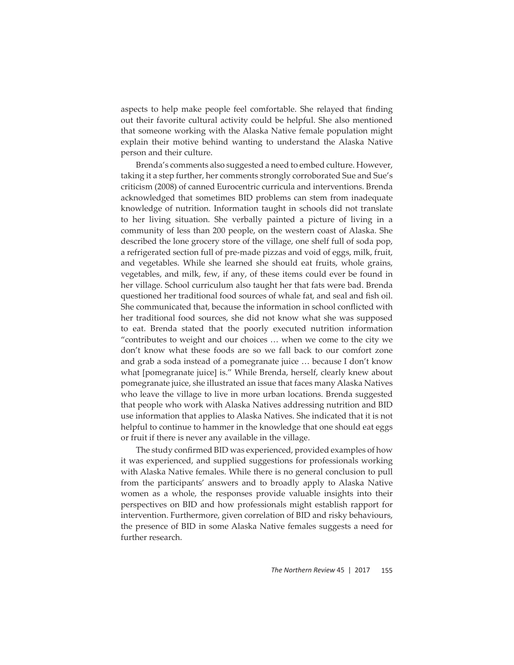aspects to help make people feel comfortable. She relayed that finding out their favorite cultural activity could be helpful. She also mentioned that someone working with the Alaska Native female population might explain their motive behind wanting to understand the Alaska Native person and their culture.

Brenda's comments also suggested a need to embed culture. However, taking it a step further, her comments strongly corroborated Sue and Sue's criticism (2008) of canned Eurocentric curricula and interventions. Brenda acknowledged that sometimes BID problems can stem from inadequate knowledge of nutrition. Information taught in schools did not translate to her living situation. She verbally painted a picture of living in a community of less than 200 people, on the western coast of Alaska. She described the lone grocery store of the village, one shelf full of soda pop, a refrigerated section full of pre-made pizzas and void of eggs, milk, fruit, and vegetables. While she learned she should eat fruits, whole grains, vegetables, and milk, few, if any, of these items could ever be found in her village. School curriculum also taught her that fats were bad. Brenda questioned her traditional food sources of whale fat, and seal and fish oil. She communicated that, because the information in school conflicted with her traditional food sources, she did not know what she was supposed to eat. Brenda stated that the poorly executed nutrition information "contributes to weight and our choices … when we come to the city we don't know what these foods are so we fall back to our comfort zone and grab a soda instead of a pomegranate juice … because I don't know what [pomegranate juice] is." While Brenda, herself, clearly knew about pomegranate juice, she illustrated an issue that faces many Alaska Natives who leave the village to live in more urban locations. Brenda suggested that people who work with Alaska Natives addressing nutrition and BID use information that applies to Alaska Natives. She indicated that it is not helpful to continue to hammer in the knowledge that one should eat eggs or fruit if there is never any available in the village.

The study confirmed BID was experienced, provided examples of how it was experienced, and supplied suggestions for professionals working with Alaska Native females. While there is no general conclusion to pull from the participants' answers and to broadly apply to Alaska Native women as a whole, the responses provide valuable insights into their perspectives on BID and how professionals might establish rapport for intervention. Furthermore, given correlation of BID and risky behaviours, the presence of BID in some Alaska Native females suggests a need for further research.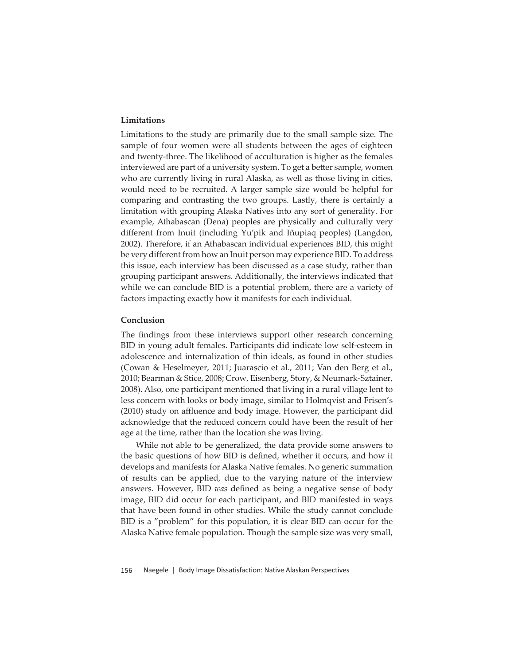# **Limitations**

Limitations to the study are primarily due to the small sample size. The sample of four women were all students between the ages of eighteen and twenty-three. The likelihood of acculturation is higher as the females interviewed are part of a university system. To get a better sample, women who are currently living in rural Alaska, as well as those living in cities, would need to be recruited. A larger sample size would be helpful for comparing and contrasting the two groups. Lastly, there is certainly a limitation with grouping Alaska Natives into any sort of generality. For example, Athabascan (Dena) peoples are physically and culturally very different from Inuit (including Yu'pik and Iñupiaq peoples) (Langdon, 2002). Therefore, if an Athabascan individual experiences BID, this might be very different from how an Inuit person may experience BID. To address this issue, each interview has been discussed as a case study, rather than grouping participant answers. Additionally, the interviews indicated that while we can conclude BID is a potential problem, there are a variety of factors impacting exactly how it manifests for each individual.

## **Conclusion**

The findings from these interviews support other research concerning BID in young adult females. Participants did indicate low self-esteem in adolescence and internalization of thin ideals, as found in other studies (Cowan & Heselmeyer, 2011; Juarascio et al., 2011; Van den Berg et al., 2010; Bearman & Stice, 2008; Crow, Eisenberg, Story, & Neumark-Sztainer, 2008). Also, one participant mentioned that living in a rural village lent to less concern with looks or body image, similar to Holmqvist and Frisen's  $(2010)$  study on affluence and body image. However, the participant did acknowledge that the reduced concern could have been the result of her age at the time, rather than the location she was living.

While not able to be generalized, the data provide some answers to the basic questions of how BID is defined, whether it occurs, and how it develops and manifests for Alaska Native females. No generic summation of results can be applied, due to the varying nature of the interview answers. However, BID *was* defined as being a negative sense of body image, BID did occur for each participant, and BID manifested in ways that have been found in other studies. While the study cannot conclude BID is a "problem" for this population, it is clear BID can occur for the Alaska Native female population. Though the sample size was very small,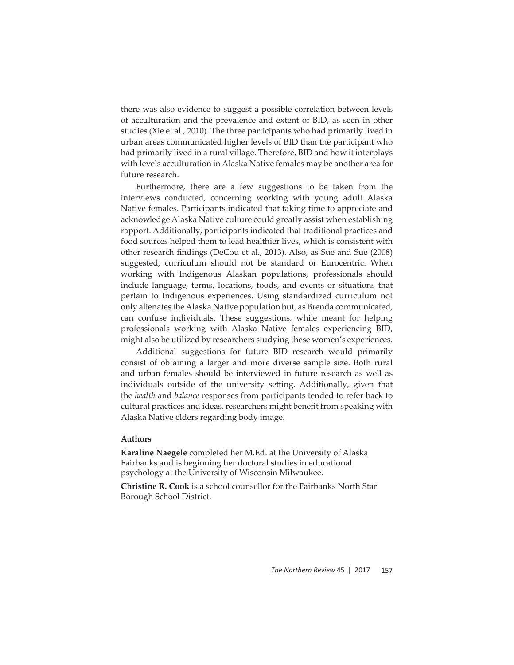there was also evidence to suggest a possible correlation between levels of acculturation and the prevalence and extent of BID, as seen in other studies (Xie et al., 2010). The three participants who had primarily lived in urban areas communicated higher levels of BID than the participant who had primarily lived in a rural village. Therefore, BID and how it interplays with levels acculturation in Alaska Native females may be another area for future research.

Furthermore, there are a few suggestions to be taken from the interviews conducted, concerning working with young adult Alaska Native females. Participants indicated that taking time to appreciate and acknowledge Alaska Native culture could greatly assist when establishing rapport. Additionally, participants indicated that traditional practices and food sources helped them to lead healthier lives, which is consistent with other research findings (DeCou et al., 2013). Also, as Sue and Sue (2008) suggested, curriculum should not be standard or Eurocentric. When working with Indigenous Alaskan populations, professionals should include language, terms, locations, foods, and events or situations that pertain to Indigenous experiences. Using standardized curriculum not only alienates the Alaska Native population but, as Brenda communicated, can confuse individuals. These suggestions, while meant for helping professionals working with Alaska Native females experiencing BID, might also be utilized by researchers studying these women's experiences.

Additional suggestions for future BID research would primarily consist of obtaining a larger and more diverse sample size. Both rural and urban females should be interviewed in future research as well as individuals outside of the university setting. Additionally, given that the *health* and *balance* responses from participants tended to refer back to cultural practices and ideas, researchers might benefit from speaking with Alaska Native elders regarding body image.

# **Authors**

**Karaline Naegele** completed her M.Ed. at the University of Alaska Fairbanks and is beginning her doctoral studies in educational psychology at the University of Wisconsin Milwaukee.

**Christine R. Cook** is a school counsellor for the Fairbanks North Star Borough School District.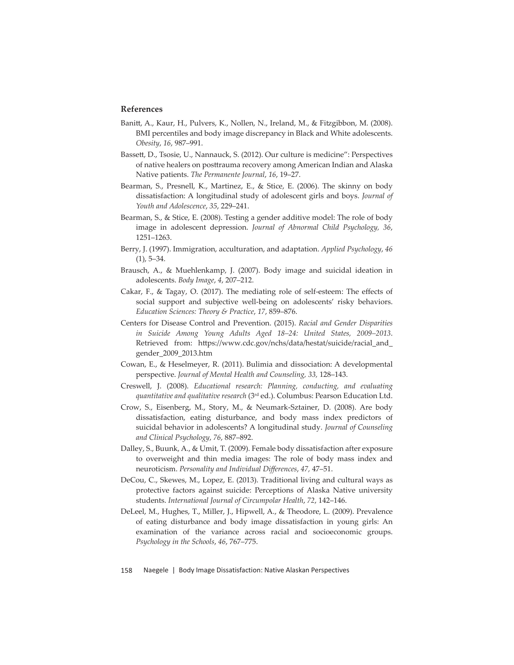## **References**

- Banitt, A., Kaur, H., Pulvers, K., Nollen, N., Ireland, M., & Fitzgibbon, M. (2008). BMI percentiles and body image discrepancy in Black and White adolescents. *Obesity*, *16*, 987–991.
- Bassett, D., Tsosie, U., Nannauck, S. (2012). Our culture is medicine": Perspectives of native healers on posttrauma recovery among American Indian and Alaska Native patients. *The Permanente Journal*, *16*, 19–27.
- Bearman, S., Presnell, K., Martinez, E., & Stice, E. (2006). The skinny on body dissatisfaction: A longitudinal study of adolescent girls and boys. *Journal of Youth and Adolescence*, *35*, 229–241.
- Bearman, S., & Stice, E. (2008). Testing a gender additive model: The role of body image in adolescent depression. *Journal of Abnormal Child Psychology, 36*, 1251–1263.
- Berry, J. (1997). Immigration, acculturation, and adaptation. *Applied Psychology*, *46*   $(1)$ , 5–34.
- Brausch, A., & Muehlenkamp, J. (2007). Body image and suicidal ideation in adolescents. *Body Image*, *4*, 207–212.
- Cakar, F., & Tagay, O. (2017). The mediating role of self-esteem: The effects of social support and subjective well-being on adolescents' risky behaviors. *Education Sciences: Theory & Practice*, *17*, 859–876.
- Centers for Disease Control and Prevention. (2015). *Racial and Gender Disparities in Suicide Among Young Adults Aged 18–24: United States, 2009–2013*. Retrieved from: https://www.cdc.gov/nchs/data/hestat/suicide/racial\_and\_ gender\_2009\_2013.htm
- Cowan, E., & Heselmeyer, R. (2011). Bulimia and dissociation: A developmental perspective. *Journal of Mental Health and Counseling, 33,* 128–143.
- Creswell, J. (2008). *Educational research: Planning, conducting, and evaluating quantitative and qualitative research* (3rd ed.). Columbus: Pearson Education Ltd.
- Crow, S., Eisenberg, M., Story, M., & Neumark-Sztainer, D. (2008). Are body dissatisfaction, eating disturbance, and body mass index predictors of suicidal behavior in adolescents? A longitudinal study. *Journal of Counseling and Clinical Psychology*, *76*, 887–892.
- Dalley, S., Buunk, A., & Umit, T. (2009). Female body dissatisfaction after exposure to overweight and thin media images: The role of body mass index and neuroticism. *Personality and Individual Diff erences*, *47,* 47–51.
- DeCou, C., Skewes, M., Lopez, E. (2013). Traditional living and cultural ways as protective factors against suicide: Perceptions of Alaska Native university students. *International Journal of Circumpolar Health*, *72*, 142–146.
- DeLeel, M., Hughes, T., Miller, J., Hipwell, A., & Theodore, L. (2009). Prevalence of eating disturbance and body image dissatisfaction in young girls: An examination of the variance across racial and socioeconomic groups. *Psychology in the Schools*, *46*, 767–775.
- 158 Naegele | Body Image Dissatisfaction: Native Alaskan Perspectives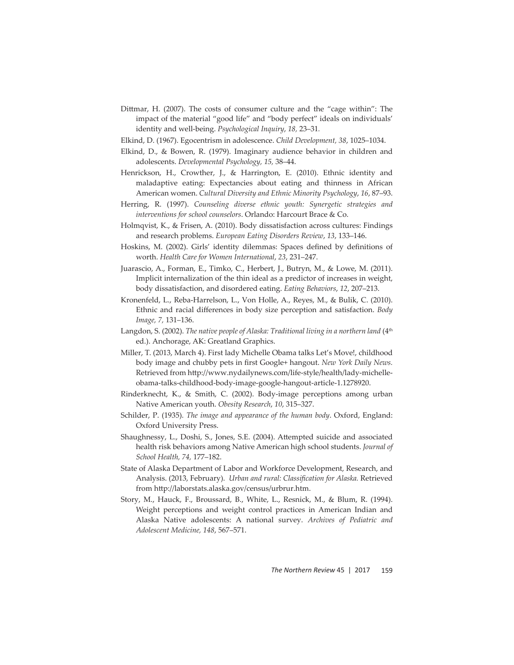- Dittmar, H. (2007). The costs of consumer culture and the "cage within": The impact of the material "good life" and "body perfect" ideals on individuals' identity and well-being. *Psychological Inquiry*, *18,* 23–31*.*
- Elkind, D. (1967). Egocentrism in adolescence. *Child Development, 38*, 1025–1034.
- Elkind, D., & Bowen, R. (1979). Imaginary audience behavior in children and adolescents. *Developmental Psychology, 15,* 38–44.
- Henrickson, H., Crowther, J., & Harrington, E. (2010). Ethnic identity and maladaptive eating: Expectancies about eating and thinness in African American women. *Cultural Diversity and Ethnic Minority Psychology*, *16*, 87–93.
- Herring, R. (1997). *Counseling diverse ethnic youth: Synergetic strategies and interventions for school counselors*. Orlando: Harcourt Brace & Co.
- Holmqvist, K., & Frisen, A. (2010). Body dissatisfaction across cultures: Findings and research problems. *European Eating Disorders Review*, *13*, 133–146.
- Hoskins, M. (2002). Girls' identity dilemmas: Spaces defined by definitions of worth. *Health Care for Women International*, *23*, 231–247.
- Juarascio, A., Forman, E., Timko, C., Herbert, J., Butryn, M., & Lowe, M. (2011). Implicit internalization of the thin ideal as a predictor of increases in weight, body dissatisfaction, and disordered eating. *Eating Behaviors*, *12*, 207–213.
- Kronenfeld, L., Reba-Harrelson, L., Von Holle, A., Reyes, M., & Bulik, C. (2010). Ethnic and racial differences in body size perception and satisfaction. *Body Image, 7,* 131–136.
- Langdon, S. (2002). *The native people of Alaska: Traditional living in a northern land* (4<sup>th</sup> ed.). Anchorage, AK: Greatland Graphics.
- Miller, T. (2013, March 4). First lady Michelle Obama talks Let's Move!, childhood body image and chubby pets in first Google+ hangout. *New York Daily News.* Retrieved from http://www.nydailynews.com/life-style/health/lady-michelleobama-talks-childhood-body-image-google-hangout-article-1.1278920.
- Rinderknecht, K., & Smith, C. (2002). Body-image perceptions among urban Native American youth. *Obesity Research*, *10*, 315–327.
- Schilder, P. (1935). *The image and appearance of the human body*. Oxford, England: Oxford University Press.
- Shaughnessy, L., Doshi, S., Jones, S.E. (2004). Attempted suicide and associated health risk behaviors among Native American high school students. *Journal of School Health, 74,* 177–182.
- State of Alaska Department of Labor and Workforce Development, Research, and Analysis. (2013, February). *Urban and rural: Classification for Alaska*. Retrieved from http://laborstats.alaska.gov/census/urbrur.htm.
- Story, M., Hauck, F., Broussard, B., White, L., Resnick, M., & Blum, R. (1994). Weight perceptions and weight control practices in American Indian and Alaska Native adolescents: A national survey. *Archives of Pediatric and Adolescent Medicine, 148*, 567–571.